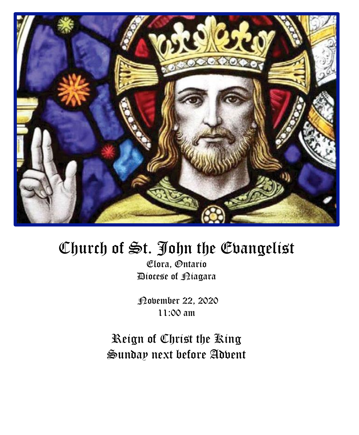

# Church of St. John the Evangelist

Elora, Ontario Diocese of Niagara

November 22, 2020 11:00 am

Reign of Christ the King Sunday next before Advent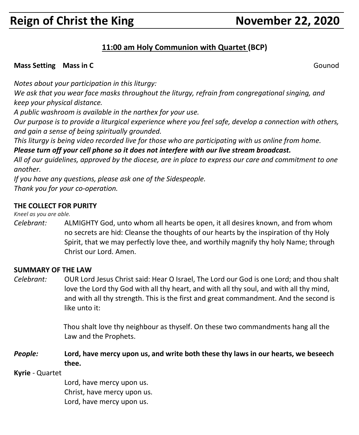## **Reign of Christ the King November 22, 2020**

#### **11:00 am Holy Communion with Quartet (BCP)**

#### **Mass Setting Mass in C** Gounod **C** Gounomer Setting Mass **Council** C Gounomer Setting Setting Setting Setting Setting Setting Setting Setting Setting Setting Setting Setting Setting Setting Setting Setting Setting Setting

*Notes about your participation in this liturgy:*

*We ask that you wear face masks throughout the liturgy, refrain from congregational singing, and keep your physical distance.*

*A public washroom is available in the narthex for your use.*

*Our purpose is to provide a liturgical experience where you feel safe, develop a connection with others, and gain a sense of being spiritually grounded.*

*This liturgy is being video recorded live for those who are participating with us online from home.*

*Please turn off your cell phone so it does not interfere with our live stream broadcast.*

All of our quidelines, approved by the diocese, are in place to express our care and commitment to one *another.* 

*If you have any questions, please ask one of the Sidespeople. Thank you for your co-operation.*

#### **THE COLLECT FOR PURITY**

*Kneel as you are able.*

*Celebrant:* ALMIGHTY God, unto whom all hearts be open, it all desires known, and from whom no secrets are hid: Cleanse the thoughts of our hearts by the inspiration of thy Holy Spirit, that we may perfectly love thee, and worthily magnify thy holy Name; through Christ our Lord. Amen.

#### **SUMMARY OF THE LAW**

*Celebrant:* OUR Lord Jesus Christ said: Hear O Israel, The Lord our God is one Lord; and thou shalt love the Lord thy God with all thy heart, and with all thy soul, and with all thy mind, and with all thy strength. This is the first and great commandment. And the second is like unto it:

> Thou shalt love thy neighbour as thyself. On these two commandments hang all the Law and the Prophets.

#### *People:* **Lord, have mercy upon us, and write both these thy laws in our hearts, we beseech thee.**

**Kyrie** - Quartet

Lord, have mercy upon us. Christ, have mercy upon us. Lord, have mercy upon us.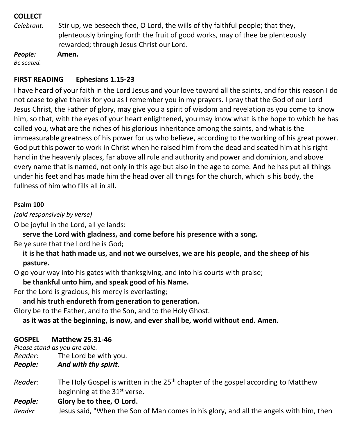#### **COLLECT**

*Celebrant:* Stir up, we beseech thee, O Lord, the wills of thy faithful people; that they, plenteously bringing forth the fruit of good works, may of thee be plenteously rewarded; through Jesus Christ our Lord.

*People:* **Amen.** *Be seated.*

#### **FIRST READING Ephesians 1.15-23**

I have heard of your faith in the Lord Jesus and your love toward all the saints, and for this reason I do not cease to give thanks for you as I remember you in my prayers. I pray that the God of our Lord Jesus Christ, the Father of glory, may give you a spirit of wisdom and revelation as you come to know him, so that, with the eyes of your heart enlightened, you may know what is the hope to which he has called you, what are the riches of his glorious inheritance among the saints, and what is the immeasurable greatness of his power for us who believe, according to the working of his great power. God put this power to work in Christ when he raised him from the dead and seated him at his right hand in the heavenly places, far above all rule and authority and power and dominion, and above every name that is named, not only in this age but also in the age to come. And he has put all things under his feet and has made him the head over all things for the church, which is his body, the fullness of him who fills all in all.

#### **Psalm 100**

*(said responsively by verse)*

O be joyful in the Lord, all ye lands:

**serve the Lord with gladness, and come before his presence with a song.**

Be ye sure that the Lord he is God;

 **it is he that hath made us, and not we ourselves, we are his people, and the sheep of his pasture.**

O go your way into his gates with thanksgiving, and into his courts with praise;

**be thankful unto him, and speak good of his Name.**

For the Lord is gracious, his mercy is everlasting;

**and his truth endureth from generation to generation.**

Glory be to the Father, and to the Son, and to the Holy Ghost.

 **as it was at the beginning, is now, and ever shall be, world without end. Amen.**

#### **GOSPEL Matthew 25.31-46**

*Please stand as you are able.*

- *Reader:*The Lord be with you.
- *People: And with thy spirit.*
- *Reader:* The Holy Gospel is written in the 25<sup>th</sup> chapter of the gospel according to Matthew beginning at the 31<sup>st</sup> verse.

#### *People:* **Glory be to thee, O Lord.**

*Reader* Jesus said, "When the Son of Man comes in his glory, and all the angels with him, then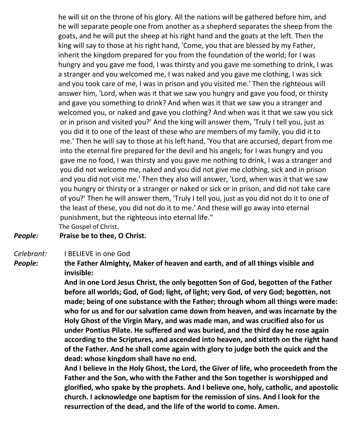he will sit on the throne of his glory. All the nations will be gathered before him, and he will separate people one from another as a shepherd separates the sheep from the goats, and he will put the sheep at his right hand and the goats at the left. Then the king will say to those at his right hand, 'Come, you that are blessed by my Father, inherit the kingdom prepared for you from the foundation of the world; for I was hungry and you gave me food, I was thirsty and you gave me something to drink, I was a stranger and you welcomed me, I was naked and you gave me clothing, I was sick and you took care of me, I was in prison and you visited me.' Then the righteous will answer him, 'Lord, when was it that we saw you hungry and gave you food, or thirsty and gave you something to drink? And when was it that we saw you a stranger and welcomed you, or naked and gave you clothing? And when was it that we saw you sick or in prison and visited you?' And the king will answer them, 'Truly I tell you, just as you did it to one of the least of these who are members of my family, you did it to me.' Then he will say to those at his left hand, 'You that are accursed, depart from me into the eternal fire prepared for the devil and his angels; for I was hungry and you gave me no food, I was thirsty and you gave me nothing to drink, I was a stranger and you did not welcome me, naked and you did not give me clothing, sick and in prison and you did not visit me.' Then they also will answer, 'Lord, when was it that we saw you hungry or thirsty or a stranger or naked or sick or in prison, and did not take care of you?' Then he will answer them, 'Truly I tell you, just as you did not do it to one of the least of these, you did not do it to me.' And these will go away into eternal punishment, but the righteous into eternal life." The Gospel of Christ.

#### *People:* **Praise be to thee, O Christ.**

#### *Celebrant:* I BELIEVE in one God

*People:* **the Father Almighty, Maker of heaven and earth, and of all things visible and invisible:**

> **And in one Lord Jesus Christ, the only begotten Son of God, begotten of the Father before all worlds; God, of God; light, of light; very God, of very God; begotten, not made; being of one substance with the Father; through whom all things were made: who for us and for our salvation came down from heaven, and was incarnate by the Holy Ghost of the Virgin Mary, and was made man, and was crucified also for us under Pontius Pilate. He suffered and was buried, and the third day he rose again according to the Scriptures, and ascended into heaven, and sitteth on the right hand of the Father. And he shall come again with glory to judge both the quick and the dead: whose kingdom shall have no end.**

> **And I believe in the Holy Ghost, the Lord, the Giver of life, who proceedeth from the Father and the Son, who with the Father and the Son together is worshipped and glorified, who spake by the prophets. And I believe one, holy, catholic, and apostolic church. I acknowledge one baptism for the remission of sins. And I look for the resurrection of the dead, and the life of the world to come. Amen.**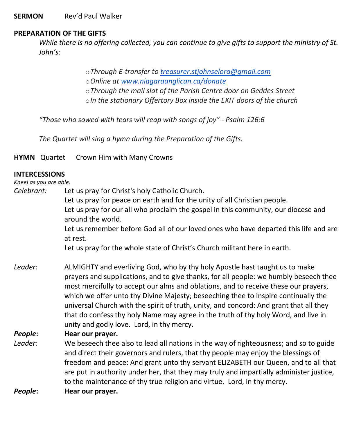#### **SERMON** Rev'd Paul Walker

#### **PREPARATION OF THE GIFTS**

While there is no offering collected, you can continue to give gifts to support the ministry of St. *John's:*

> o*Through E-transfer to [treasurer.stjohnselora@gmail.com](mailto:treasurer.stjohnselora@gmail.com)* o*Online at [www.niagaraanglican.ca/donate](http://www.niagaraanglican.ca/donate)* o*Through the mail slot of the Parish Centre door on Geddes Street* o*In the stationary Offertory Box inside the EXIT doors of the church*

*"Those who sowed with tears will reap with songs of joy" - Psalm 126:6*

*The Quartet will sing a hymn during the Preparation of the Gifts.*

**HYMN** Quartet Crown Him with Many Crowns

#### **INTERCESSIONS**

#### *Kneel as you are able.*

*Celebrant:* Let us pray for Christ's holy Catholic Church. Let us pray for peace on earth and for the unity of all Christian people. Let us pray for our all who proclaim the gospel in this community, our diocese and around the world. Let us remember before God all of our loved ones who have departed this life and are at rest.

Let us pray for the whole state of Christ's Church militant here in earth.

*Leader:* ALMIGHTY and everliving God, who by thy holy Apostle hast taught us to make prayers and supplications, and to give thanks, for all people: we humbly beseech thee most mercifully to accept our alms and oblations, and to receive these our prayers, which we offer unto thy Divine Majesty; beseeching thee to inspire continually the universal Church with the spirit of truth, unity, and concord: And grant that all they that do confess thy holy Name may agree in the truth of thy holy Word, and live in unity and godly love. Lord, in thy mercy.

#### *People***: Hear our prayer.**

- *Leader:* We beseech thee also to lead all nations in the way of righteousness; and so to guide and direct their governors and rulers, that thy people may enjoy the blessings of freedom and peace: And grant unto thy servant ELIZABETH our Queen, and to all that are put in authority under her, that they may truly and impartially administer justice, to the maintenance of thy true religion and virtue. Lord, in thy mercy.
- *People***: Hear our prayer.**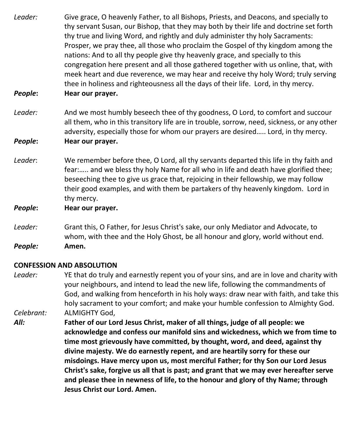- *Leader:* Give grace, O heavenly Father, to all Bishops, Priests, and Deacons, and specially to thy servant Susan, our Bishop, that they may both by their life and doctrine set forth thy true and living Word, and rightly and duly administer thy holy Sacraments: Prosper, we pray thee, all those who proclaim the Gospel of thy kingdom among the nations: And to all thy people give thy heavenly grace, and specially to this congregation here present and all those gathered together with us online, that, with meek heart and due reverence, we may hear and receive thy holy Word; truly serving thee in holiness and righteousness all the days of their life. Lord, in thy mercy.
- *People***: Hear our prayer.**
- *Leader:* And we most humbly beseech thee of thy goodness, O Lord, to comfort and succour all them, who in this transitory life are in trouble, sorrow, need, sickness, or any other adversity, especially those for whom our prayers are desired….. Lord, in thy mercy. *People***: Hear our prayer.**
- *Leader*: We remember before thee, O Lord, all thy servants departed this life in thy faith and fear:….. and we bless thy holy Name for all who in life and death have glorified thee; beseeching thee to give us grace that, rejoicing in their fellowship, we may follow their good examples, and with them be partakers of thy heavenly kingdom. Lord in thy mercy.
- *People***: Hear our prayer.**
- *Leader:* Grant this, O Father, for Jesus Christ's sake, our only Mediator and Advocate, to whom, with thee and the Holy Ghost, be all honour and glory, world without end. *People:* **Amen.**

#### **CONFESSION AND ABSOLUTION**

- *Leader:* YE that do truly and earnestly repent you of your sins, and are in love and charity with your neighbours, and intend to lead the new life, following the commandments of God, and walking from henceforth in his holy ways: draw near with faith, and take this holy sacrament to your comfort; and make your humble confession to Almighty God. *Celebrant:* ALMIGHTY God,
- *All:* **Father of our Lord Jesus Christ, maker of all things, judge of all people: we acknowledge and confess our manifold sins and wickedness, which we from time to time most grievously have committed, by thought, word, and deed, against thy divine majesty. We do earnestly repent, and are heartily sorry for these our misdoings. Have mercy upon us, most merciful Father; for thy Son our Lord Jesus Christ's sake, forgive us all that is past; and grant that we may ever hereafter serve and please thee in newness of life, to the honour and glory of thy Name; through Jesus Christ our Lord. Amen.**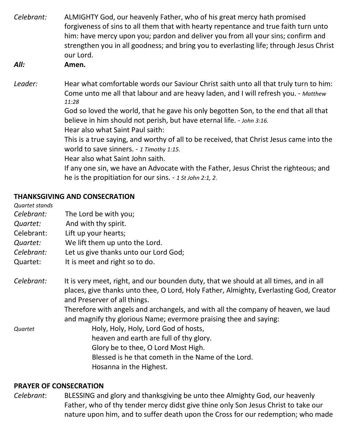| Celebrant: | ALMIGHTY God, our heavenly Father, who of his great mercy hath promised<br>forgiveness of sins to all them that with hearty repentance and true faith turn unto<br>him: have mercy upon you; pardon and deliver you from all your sins; confirm and<br>strengthen you in all goodness; and bring you to everlasting life; through Jesus Christ<br>our Lord.                                |  |
|------------|--------------------------------------------------------------------------------------------------------------------------------------------------------------------------------------------------------------------------------------------------------------------------------------------------------------------------------------------------------------------------------------------|--|
| All:       | Amen.                                                                                                                                                                                                                                                                                                                                                                                      |  |
| Leader:    | Hear what comfortable words our Saviour Christ saith unto all that truly turn to him:<br>Come unto me all that labour and are heavy laden, and I will refresh you. - Matthew<br>11:28<br>God so loved the world, that he gave his only begotten Son, to the end that all that<br>believe in him should not perish, but have eternal life. - John 3:16.<br>Hear also what Saint Paul saith: |  |
|            | This is a true saying, and worthy of all to be received, that Christ Jesus came into the<br>world to save sinners. - 1 Timothy 1:15.<br>Hear also what Saint John saith.                                                                                                                                                                                                                   |  |
|            | If any one sin, we have an Advocate with the Father, Jesus Christ the righteous; and<br>he is the propitiation for our sins. - 1 St John 2:1, 2.                                                                                                                                                                                                                                           |  |

#### **THANKSGIVING AND CONSECRATION**

*Quartet stands*

- *Celebrant:* The Lord be with you;
- *Quartet:* And with thy spirit.
- Celebrant: Lift up your hearts;
- *Quartet:* We lift them up unto the Lord.
- *Celebrant:* Let us give thanks unto our Lord God;
- Quartet: It is meet and right so to do.
- *Celebrant:* It is very meet, right, and our bounden duty, that we should at all times, and in all places, give thanks unto thee, O Lord, Holy Father, Almighty, Everlasting God, Creator and Preserver of all things.

Therefore with angels and archangels, and with all the company of heaven, we laud and magnify thy glorious Name; evermore praising thee and saying:

*Quartet* Holy, Holy, Holy, Lord God of hosts, heaven and earth are full of thy glory. Glory be to thee, O Lord Most High. Blessed is he that cometh in the Name of the Lord. Hosanna in the Highest.

#### **PRAYER OF CONSECRATION**

*Celebrant*: BLESSING and glory and thanksgiving be unto thee Almighty God, our heavenly Father, who of thy tender mercy didst give thine only Son Jesus Christ to take our nature upon him, and to suffer death upon the Cross for our redemption; who made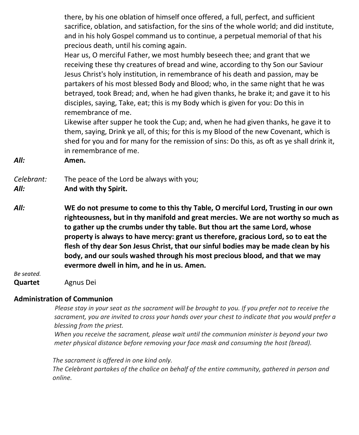there, by his one oblation of himself once offered, a full, perfect, and sufficient sacrifice, oblation, and satisfaction, for the sins of the whole world; and did institute, and in his holy Gospel command us to continue, a perpetual memorial of that his precious death, until his coming again.

Hear us, O merciful Father, we most humbly beseech thee; and grant that we receiving these thy creatures of bread and wine, according to thy Son our Saviour Jesus Christ's holy institution, in remembrance of his death and passion, may be partakers of his most blessed Body and Blood; who, in the same night that he was betrayed, took Bread; and, when he had given thanks, he brake it; and gave it to his disciples, saying, Take, eat; this is my Body which is given for you: Do this in remembrance of me.

Likewise after supper he took the Cup; and, when he had given thanks, he gave it to them, saying, Drink ye all, of this; for this is my Blood of the new Covenant, which is shed for you and for many for the remission of sins: Do this, as oft as ye shall drink it, in remembrance of me.

*All:* **Amen.**

*Celebrant:* The peace of the Lord be always with you;

- *All:* **And with thy Spirit.**
- *All:* **WE do not presume to come to this thy Table, O merciful Lord, Trusting in our own righteousness, but in thy manifold and great mercies. We are not worthy so much as to gather up the crumbs under thy table. But thou art the same Lord, whose property is always to have mercy: grant us therefore, gracious Lord, so to eat the flesh of thy dear Son Jesus Christ, that our sinful bodies may be made clean by his body, and our souls washed through his most precious blood, and that we may evermore dwell in him, and he in us. Amen.**

*Be seated.*

**Quartet** Agnus Dei

#### **Administration of Communion**

Please stay in your seat as the sacrament will be brought to you. If you prefer not to receive the *sacrament, you are invited to cross your hands over your chest to indicate that you would prefer a blessing from the priest.*

*When you receive the sacrament, please wait until the communion minister is beyond your two meter physical distance before removing your face mask and consuming the host (bread).*

 *The sacrament is offered in one kind only. The Celebrant partakes of the chalice on behalf of the entire community, gathered in person and online.*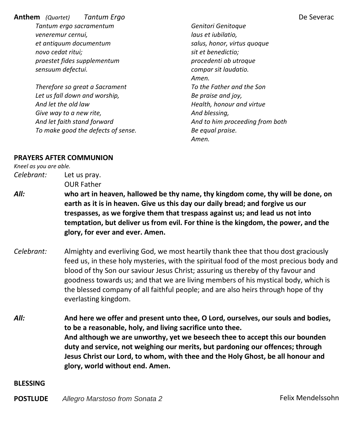**Anthem** *(Quartet) Tantum Ergo* De Severac *Tantum ergo sacramentum veneremur cernui, et antiquum documentum novo cedat ritui; praestet fides supplementum sensuum defectui.*

*Therefore so great a Sacrament Let us fall down and worship, And let the old law Give way to a new rite, And let faith stand forward To make good the defects of sense.*

*Genitori Genitoque laus et iubilatio, salus, honor, virtus quoque sit et benedictio; procedenti ab utroque compar sit laudatio. Amen. To the Father and the Son Be praise and joy, Health, honour and virtue And blessing, And to him proceeding from both Be equal praise. Amen.*

#### **PRAYERS AFTER COMMUNION**

*Kneel as you are able. Celebrant:* Let us pray.

OUR Father

- *All:* **who art in heaven, hallowed be thy name, thy kingdom come, thy will be done, on earth as it is in heaven. Give us this day our daily bread; and forgive us our trespasses, as we forgive them that trespass against us; and lead us not into temptation, but deliver us from evil. For thine is the kingdom, the power, and the glory, for ever and ever. Amen.**
- *Celebrant:* Almighty and everliving God, we most heartily thank thee that thou dost graciously feed us, in these holy mysteries, with the spiritual food of the most precious body and blood of thy Son our saviour Jesus Christ; assuring us thereby of thy favour and goodness towards us; and that we are living members of his mystical body, which is the blessed company of all faithful people; and are also heirs through hope of thy everlasting kingdom.
- *All:* **And here we offer and present unto thee, O Lord, ourselves, our souls and bodies, to be a reasonable, holy, and living sacrifice unto thee. And although we are unworthy, yet we beseech thee to accept this our bounden duty and service, not weighing our merits, but pardoning our offences; through Jesus Christ our Lord, to whom, with thee and the Holy Ghost, be all honour and glory, world without end. Amen.**

**BLESSING**

**POSTLUDE** *Allegro Marstoso from Sonata 2* Felix Mendelssohn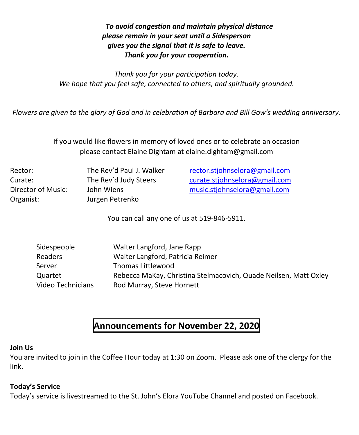#### *To avoid congestion and maintain physical distance please remain in your seat until a Sidesperson gives you the signal that it is safe to leave. Thank you for your cooperation.*

*Thank you for your participation today. We hope that you feel safe, connected to others, and spiritually grounded.*

Flowers are given to the glory of God and in celebration of Barbara and Bill Gow's wedding anniversary.

If you would like flowers in memory of loved ones or to celebrate an occasion please contact Elaine Dightam at elaine.dightam@gmail.com

Organist: Jurgen Petrenko

Rector: The Rev'd Paul J. Walker [rector.stjohnselora@gmail.com](mailto:rector.stjohnselora@gmail.com) Curate: The Rev'd Judy Steers [curate.stjohnselora@gmail.com](mailto:curate.stjohnselora@gmail.com) Director of Music: John Wiens [music.stjohnselora@gmail.com](mailto:music.stjohnselora@gmail.com)

You can call any one of us at 519-846-5911.

| Sidespeople       | Walter Langford, Jane Rapp                                       |
|-------------------|------------------------------------------------------------------|
| Readers           | Walter Langford, Patricia Reimer                                 |
| Server            | Thomas Littlewood                                                |
| Quartet           | Rebecca MaKay, Christina Stelmacovich, Quade Neilsen, Matt Oxley |
| Video Technicians | Rod Murray, Steve Hornett                                        |

### **Announcements for November 22, 2020**

#### **Join Us**

You are invited to join in the Coffee Hour today at 1:30 on Zoom. Please ask one of the clergy for the link.

#### **Today's Service**

Today's service is livestreamed to the St. John's Elora YouTube Channel and posted on Facebook.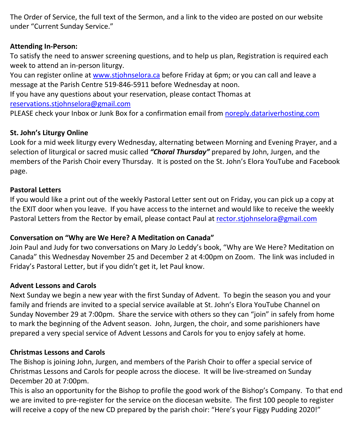The Order of Service, the full text of the Sermon, and a link to the video are posted on our website under "Current Sunday Service."

#### **Attending In-Person:**

To satisfy the need to answer screening questions, and to help us plan, Registration is required each week to attend an in-person liturgy.

You can register online at [www.stjohnselora.ca](http://www.stjohnselora.ca/) before Friday at 6pm; or you can call and leave a message at the Parish Centre 519-846-5911 before Wednesday at noon.

If you have any questions about your reservation, please contact Thomas at

[reservations.stjohnselora@gmail.com](mailto:reservations.stjohnselora@gmail.com)

PLEASE check your Inbox or Junk Box for a confirmation email from [noreply.datariverhosting.com](http://noreply.datariverhosting.com/)

#### **St. John's Liturgy Online**

Look for a mid week liturgy every Wednesday, alternating between Morning and Evening Prayer, and a selection of liturgical or sacred music called *"Choral Thursday"* prepared by John, Jurgen, and the members of the Parish Choir every Thursday. It is posted on the St. John's Elora YouTube and Facebook page.

#### **Pastoral Letters**

If you would like a print out of the weekly Pastoral Letter sent out on Friday, you can pick up a copy at the EXIT door when you leave. If you have access to the internet and would like to receive the weekly Pastoral Letters from the Rector by email, please contact Paul at [rector.stjohnselora@gmail.com](mailto:rector.stjohnselora@gmail.com)

#### **Conversation on "Why are We Here? A Meditation on Canada"**

Join Paul and Judy for two conversations on Mary Jo Leddy's book, "Why are We Here? Meditation on Canada" this Wednesday November 25 and December 2 at 4:00pm on Zoom. The link was included in Friday's Pastoral Letter, but if you didn't get it, let Paul know.

#### **Advent Lessons and Carols**

Next Sunday we begin a new year with the first Sunday of Advent. To begin the season you and your family and friends are invited to a special service available at St. John's Elora YouTube Channel on Sunday November 29 at 7:00pm. Share the service with others so they can "join" in safely from home to mark the beginning of the Advent season. John, Jurgen, the choir, and some parishioners have prepared a very special service of Advent Lessons and Carols for you to enjoy safely at home.

#### **Christmas Lessons and Carols**

The Bishop is joining John, Jurgen, and members of the Parish Choir to offer a special service of Christmas Lessons and Carols for people across the diocese. It will be live-streamed on Sunday December 20 at 7:00pm.

This is also an opportunity for the Bishop to profile the good work of the Bishop's Company. To that end we are invited to pre-register for the service on the diocesan website. The first 100 people to register will receive a copy of the new CD prepared by the parish choir: "Here's your Figgy Pudding 2020!"